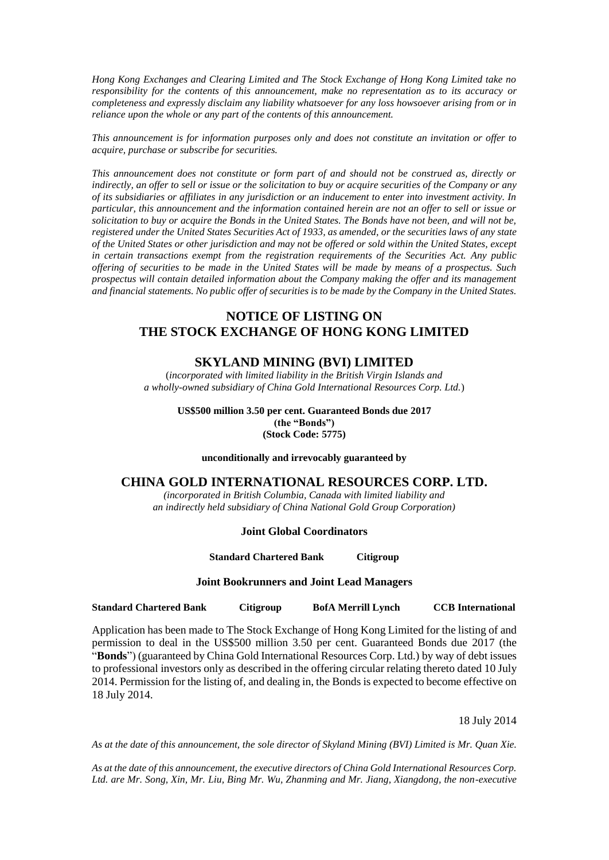*Hong Kong Exchanges and Clearing Limited and The Stock Exchange of Hong Kong Limited take no responsibility for the contents of this announcement, make no representation as to its accuracy or completeness and expressly disclaim any liability whatsoever for any loss howsoever arising from or in reliance upon the whole or any part of the contents of this announcement.*

*This announcement is for information purposes only and does not constitute an invitation or offer to acquire, purchase or subscribe for securities.*

*This announcement does not constitute or form part of and should not be construed as, directly or indirectly, an offer to sell or issue or the solicitation to buy or acquire securities of the Company or any of its subsidiaries or affiliates in any jurisdiction or an inducement to enter into investment activity. In particular, this announcement and the information contained herein are not an offer to sell or issue or solicitation to buy or acquire the Bonds in the United States. The Bonds have not been, and will not be, registered under the United States Securities Act of 1933, as amended, or the securities laws of any state of the United States or other jurisdiction and may not be offered or sold within the United States, except in certain transactions exempt from the registration requirements of the Securities Act. Any public offering of securities to be made in the United States will be made by means of a prospectus. Such prospectus will contain detailed information about the Company making the offer and its management and financial statements. No public offer of securities is to be made by the Company in the United States.*

# **NOTICE OF LISTING ON THE STOCK EXCHANGE OF HONG KONG LIMITED**

## **SKYLAND MINING (BVI) LIMITED**

(*incorporated with limited liability in the British Virgin Islands and a wholly-owned subsidiary of China Gold International Resources Corp. Ltd.*)

> **US\$500 million 3.50 per cent. Guaranteed Bonds due 2017 (the "Bonds") (Stock Code: 5775)**

**unconditionally and irrevocably guaranteed by**

### **CHINA GOLD INTERNATIONAL RESOURCES CORP. LTD.**

*(incorporated in British Columbia, Canada with limited liability and an indirectly held subsidiary of China National Gold Group Corporation)*

### **Joint Global Coordinators**

**Standard Chartered Bank Citigroup**

#### **Joint Bookrunners and Joint Lead Managers**

**Standard Chartered Bank Citigroup BofA Merrill Lynch CCB International**

Application has been made to The Stock Exchange of Hong Kong Limited for the listing of and permission to deal in the US\$500 million 3.50 per cent. Guaranteed Bonds due 2017 (the "**Bonds**") (guaranteed by China Gold International Resources Corp. Ltd.) by way of debt issues to professional investors only as described in the offering circular relating thereto dated 10 July 2014. Permission for the listing of, and dealing in, the Bonds is expected to become effective on 18 July 2014.

18 July 2014

*As at the date of this announcement, the sole director of Skyland Mining (BVI) Limited is Mr. Quan Xie.*

*As at the date of this announcement, the executive directors of China Gold International Resources Corp. Ltd. are Mr. Song, Xin, Mr. Liu, Bing Mr. Wu, Zhanming and Mr. Jiang, Xiangdong, the non-executive*